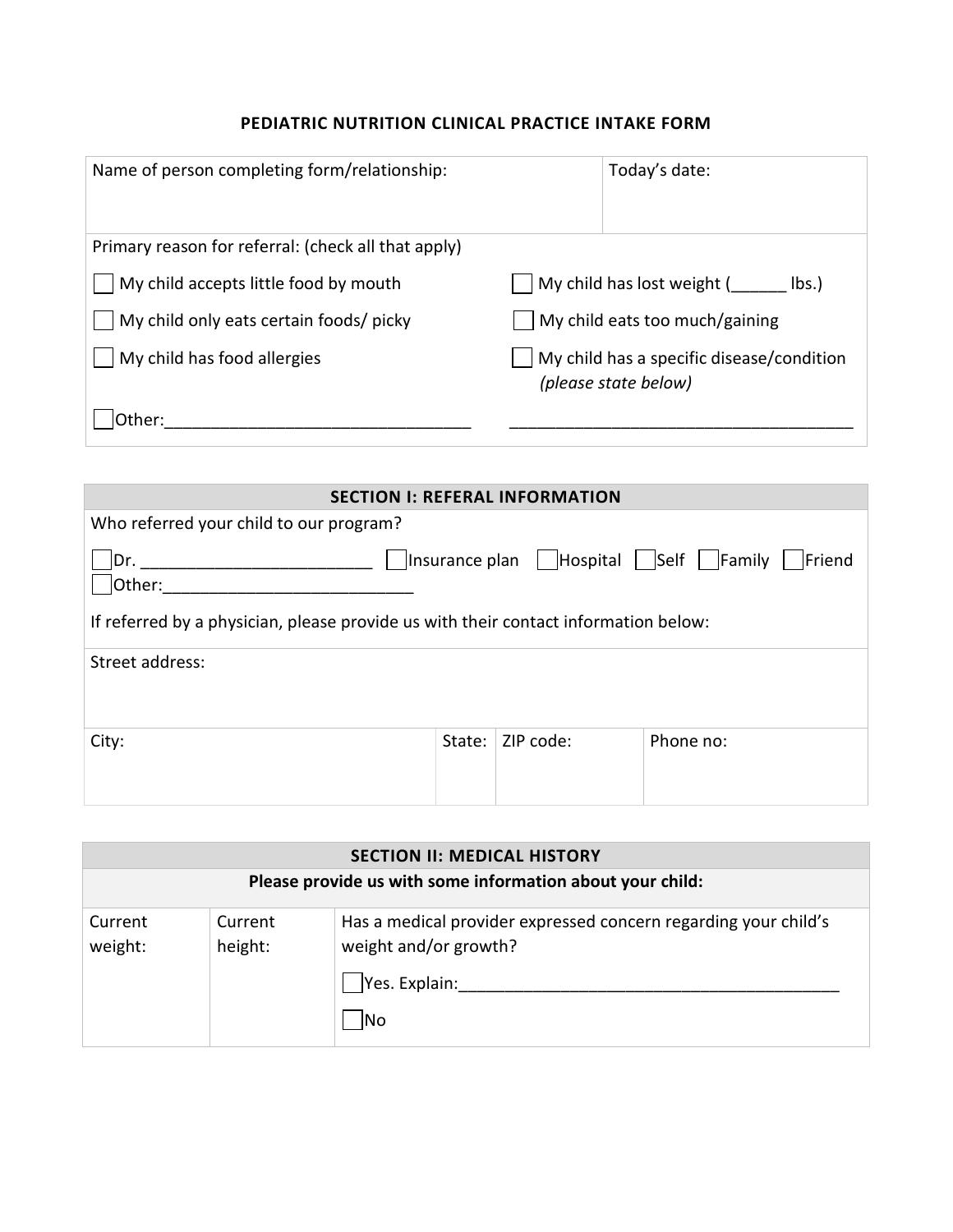## **PEDIATRIC NUTRITION CLINICAL PRACTICE INTAKE FORM**

| Name of person completing form/relationship:        | Today's date:                                                     |
|-----------------------------------------------------|-------------------------------------------------------------------|
| Primary reason for referral: (check all that apply) |                                                                   |
| My child accepts little food by mouth               | My child has lost weight (<br>lbs.                                |
| My child only eats certain foods/ picky             | My child eats too much/gaining                                    |
| My child has food allergies                         | My child has a specific disease/condition<br>(please state below) |
| Other:                                              |                                                                   |

| <b>SECTION I: REFERAL INFORMATION</b>                                               |        |           |                                                     |  |
|-------------------------------------------------------------------------------------|--------|-----------|-----------------------------------------------------|--|
| Who referred your child to our program?                                             |        |           |                                                     |  |
| Dr.<br>Other:                                                                       |        |           | JInsurance plan   Hospital   Self   Family   Friend |  |
| If referred by a physician, please provide us with their contact information below: |        |           |                                                     |  |
| Street address:                                                                     |        |           |                                                     |  |
| City:                                                                               | State: | ZIP code: | Phone no:                                           |  |

| <b>SECTION II: MEDICAL HISTORY</b>                        |                    |                                                                                                                  |  |  |
|-----------------------------------------------------------|--------------------|------------------------------------------------------------------------------------------------------------------|--|--|
| Please provide us with some information about your child: |                    |                                                                                                                  |  |  |
| Current<br>weight:                                        | Current<br>height: | Has a medical provider expressed concern regarding your child's<br>weight and/or growth?<br>Yes. Explain:<br>INo |  |  |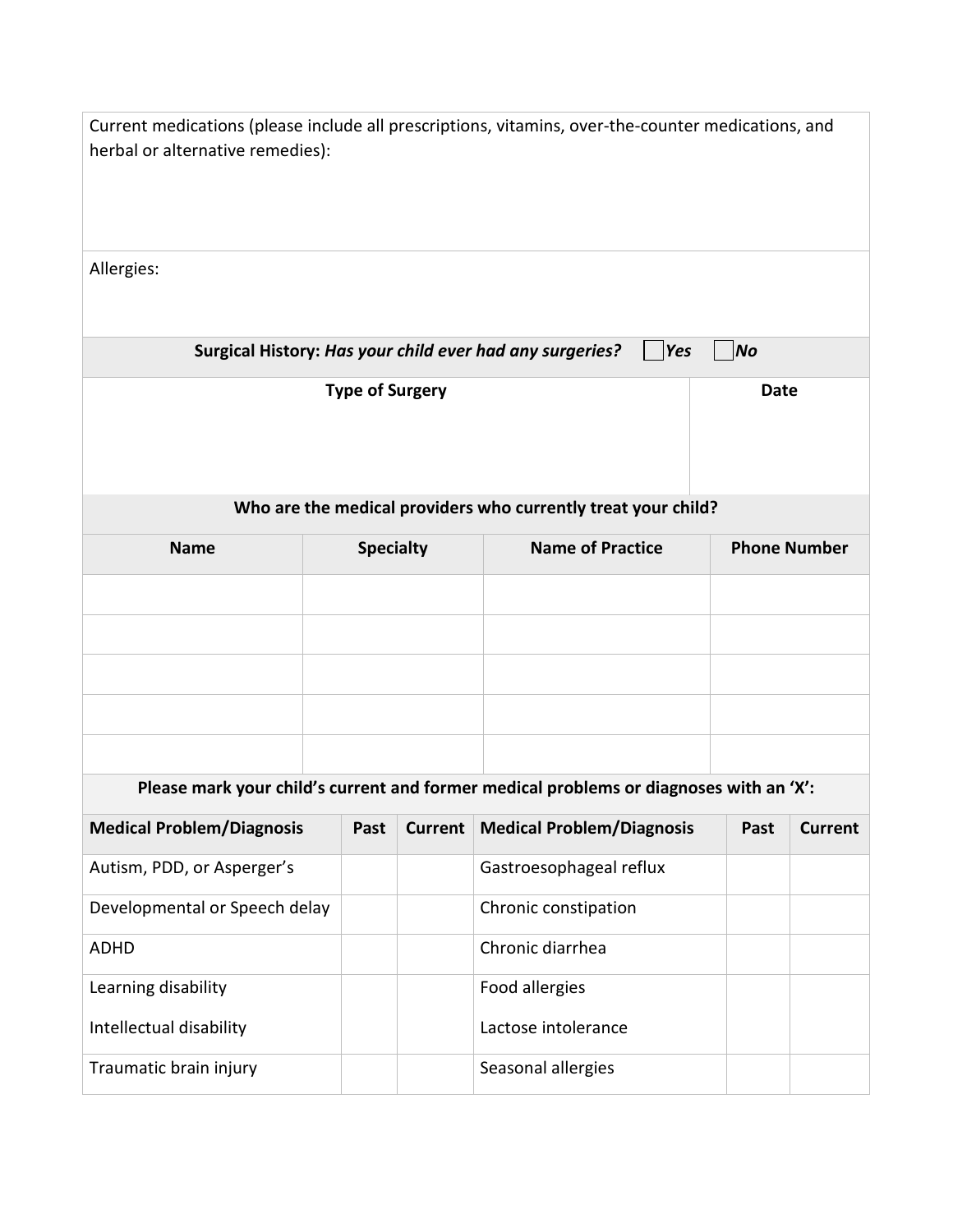| herbal or alternative remedies): |                                       |                  |                | Current medications (please include all prescriptions, vitamins, over-the-counter medications, and |           |                     |                |
|----------------------------------|---------------------------------------|------------------|----------------|----------------------------------------------------------------------------------------------------|-----------|---------------------|----------------|
| Allergies:                       |                                       |                  |                |                                                                                                    |           |                     |                |
|                                  |                                       |                  |                | Surgical History: Has your child ever had any surgeries?<br>Yes                                    | <b>No</b> |                     |                |
|                                  | <b>Type of Surgery</b><br><b>Date</b> |                  |                |                                                                                                    |           |                     |                |
|                                  |                                       |                  |                | Who are the medical providers who currently treat your child?                                      |           |                     |                |
| <b>Name</b>                      |                                       | <b>Specialty</b> |                | <b>Name of Practice</b>                                                                            |           | <b>Phone Number</b> |                |
|                                  |                                       |                  |                |                                                                                                    |           |                     |                |
|                                  |                                       |                  |                |                                                                                                    |           |                     |                |
|                                  |                                       |                  |                |                                                                                                    |           |                     |                |
|                                  |                                       |                  |                |                                                                                                    |           |                     |                |
|                                  |                                       |                  |                |                                                                                                    |           |                     |                |
|                                  |                                       |                  |                | Please mark your child's current and former medical problems or diagnoses with an 'X':             |           |                     |                |
| <b>Medical Problem/Diagnosis</b> |                                       | Past             | <b>Current</b> | <b>Medical Problem/Diagnosis</b>                                                                   |           | Past                | <b>Current</b> |
| Autism, PDD, or Asperger's       |                                       |                  |                | Gastroesophageal reflux                                                                            |           |                     |                |
| Developmental or Speech delay    |                                       |                  |                | Chronic constipation                                                                               |           |                     |                |
| <b>ADHD</b>                      |                                       |                  |                | Chronic diarrhea                                                                                   |           |                     |                |
| Learning disability              |                                       |                  |                | Food allergies                                                                                     |           |                     |                |
| Intellectual disability          |                                       |                  |                | Lactose intolerance                                                                                |           |                     |                |
| Traumatic brain injury           |                                       |                  |                | Seasonal allergies                                                                                 |           |                     |                |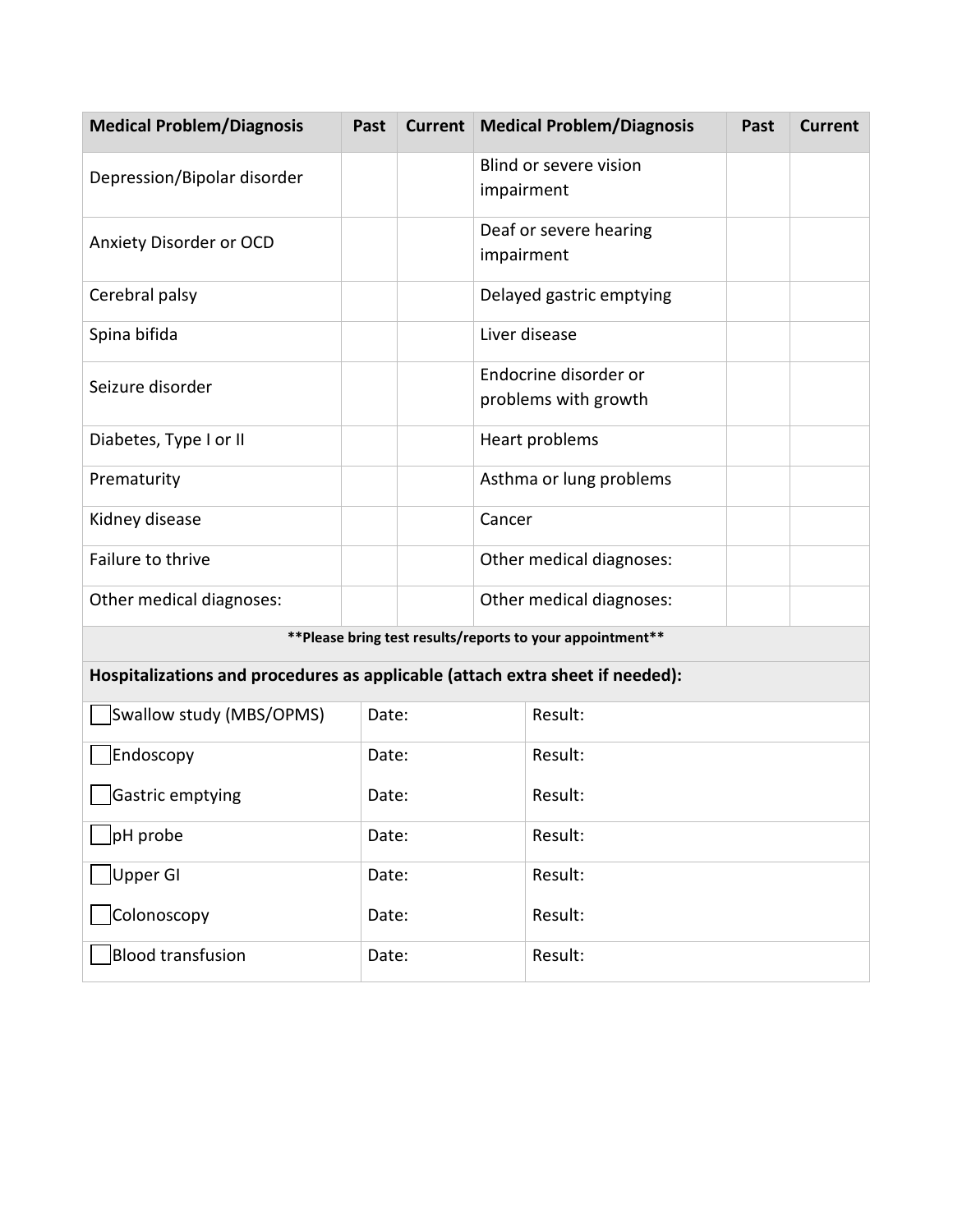| <b>Medical Problem/Diagnosis</b>                                              | Past  | <b>Current</b> | <b>Medical Problem/Diagnosis</b>                           | Past | <b>Current</b> |
|-------------------------------------------------------------------------------|-------|----------------|------------------------------------------------------------|------|----------------|
| Depression/Bipolar disorder                                                   |       |                | Blind or severe vision<br>impairment                       |      |                |
| Anxiety Disorder or OCD                                                       |       |                | Deaf or severe hearing<br>impairment                       |      |                |
| Cerebral palsy                                                                |       |                | Delayed gastric emptying                                   |      |                |
| Spina bifida                                                                  |       |                | Liver disease                                              |      |                |
| Seizure disorder                                                              |       |                | Endocrine disorder or<br>problems with growth              |      |                |
| Diabetes, Type I or II                                                        |       |                | Heart problems                                             |      |                |
| Prematurity                                                                   |       |                | Asthma or lung problems                                    |      |                |
| Kidney disease                                                                |       |                | Cancer                                                     |      |                |
| Failure to thrive                                                             |       |                | Other medical diagnoses:                                   |      |                |
| Other medical diagnoses:                                                      |       |                | Other medical diagnoses:                                   |      |                |
|                                                                               |       |                | ** Please bring test results/reports to your appointment** |      |                |
| Hospitalizations and procedures as applicable (attach extra sheet if needed): |       |                |                                                            |      |                |
| Swallow study (MBS/OPMS)<br>Date:                                             |       | Result:        |                                                            |      |                |
| Endoscopy                                                                     | Date: |                | Result:                                                    |      |                |
| Gastric emptying                                                              | Date: |                | Result:                                                    |      |                |
| pH probe                                                                      | Date: |                | Result:                                                    |      |                |
| <b>Upper GI</b>                                                               | Date: |                | Result:                                                    |      |                |
| Colonoscopy                                                                   | Date: |                | Result:                                                    |      |                |
| <b>Blood transfusion</b>                                                      | Date: |                | Result:                                                    |      |                |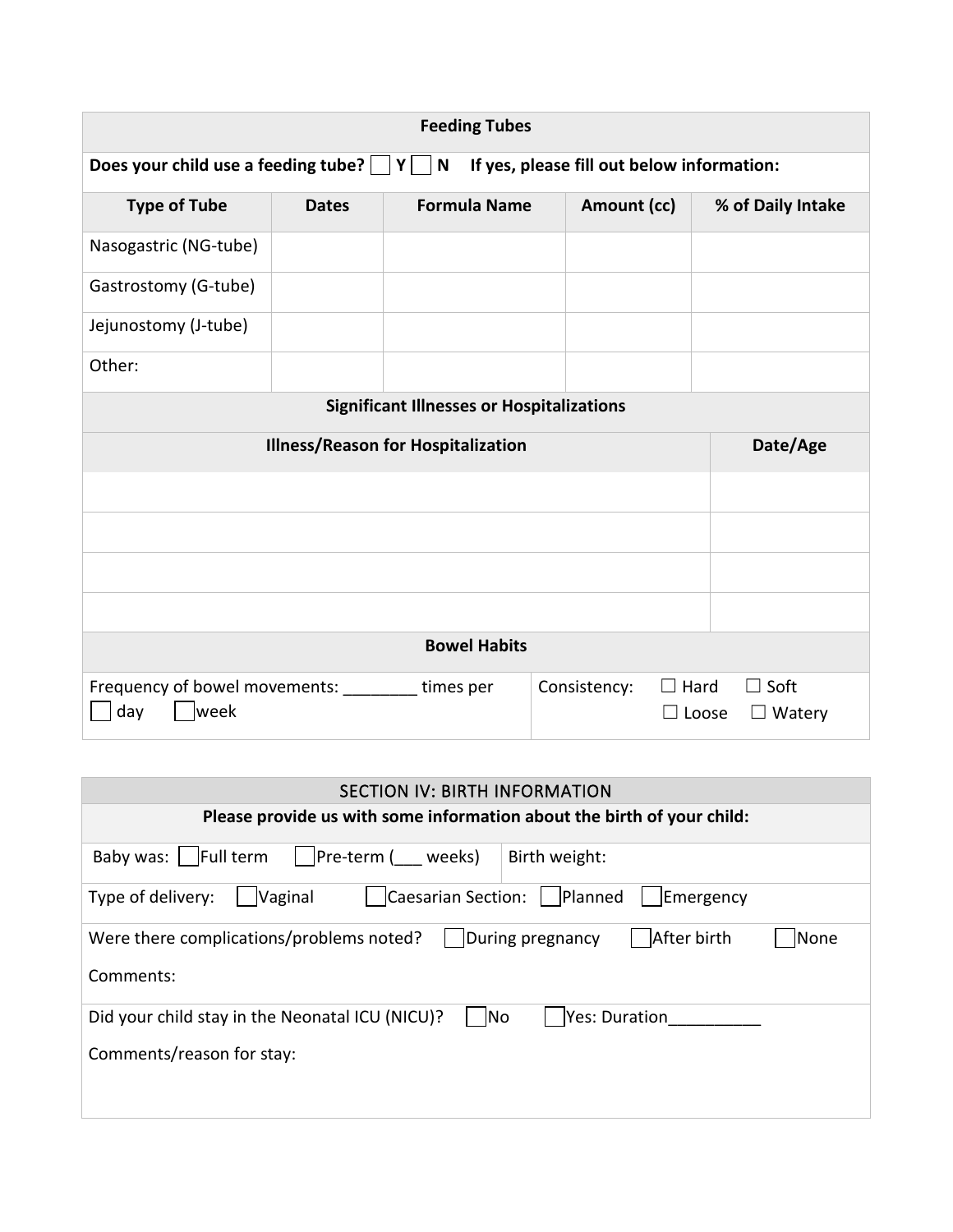| <b>Feeding Tubes</b>                                               |              |                                                  |                                            |                                                      |
|--------------------------------------------------------------------|--------------|--------------------------------------------------|--------------------------------------------|------------------------------------------------------|
| Does your child use a feeding tube? $\Box Y \Box N$                |              |                                                  | If yes, please fill out below information: |                                                      |
| <b>Type of Tube</b>                                                | <b>Dates</b> | <b>Formula Name</b>                              | Amount (cc)                                | % of Daily Intake                                    |
| Nasogastric (NG-tube)                                              |              |                                                  |                                            |                                                      |
| Gastrostomy (G-tube)                                               |              |                                                  |                                            |                                                      |
| Jejunostomy (J-tube)                                               |              |                                                  |                                            |                                                      |
| Other:                                                             |              |                                                  |                                            |                                                      |
|                                                                    |              | <b>Significant Illnesses or Hospitalizations</b> |                                            |                                                      |
|                                                                    |              | <b>Illness/Reason for Hospitalization</b>        |                                            | Date/Age                                             |
|                                                                    |              |                                                  |                                            |                                                      |
|                                                                    |              |                                                  |                                            |                                                      |
|                                                                    |              |                                                  |                                            |                                                      |
|                                                                    |              |                                                  |                                            |                                                      |
|                                                                    |              | <b>Bowel Habits</b>                              |                                            |                                                      |
| Frequency of bowel movements: __________ times per<br>day<br> week |              |                                                  | Consistency:                               | $\Box$ Hard<br>$\Box$ Soft<br>Loose<br>$\Box$ Watery |

| <b>SECTION IV: BIRTH INFORMATION</b>                                                                                                |
|-------------------------------------------------------------------------------------------------------------------------------------|
| Please provide us with some information about the birth of your child:                                                              |
| Full term<br>Baby was:<br>Birth weight:<br> Pre-term ( weeks)                                                                       |
| Caesarian Section:   Planned<br>Type of delivery:<br><b>Vaginal</b><br>Emergency                                                    |
| After birth<br>During pregnancy<br>Were there complications/problems noted?<br>None<br>Comments:                                    |
| Did your child stay in the Neonatal ICU (NICU)?<br>$\overline{\phantom{a}}$ No<br><b>Yes: Duration</b><br>Comments/reason for stay: |
|                                                                                                                                     |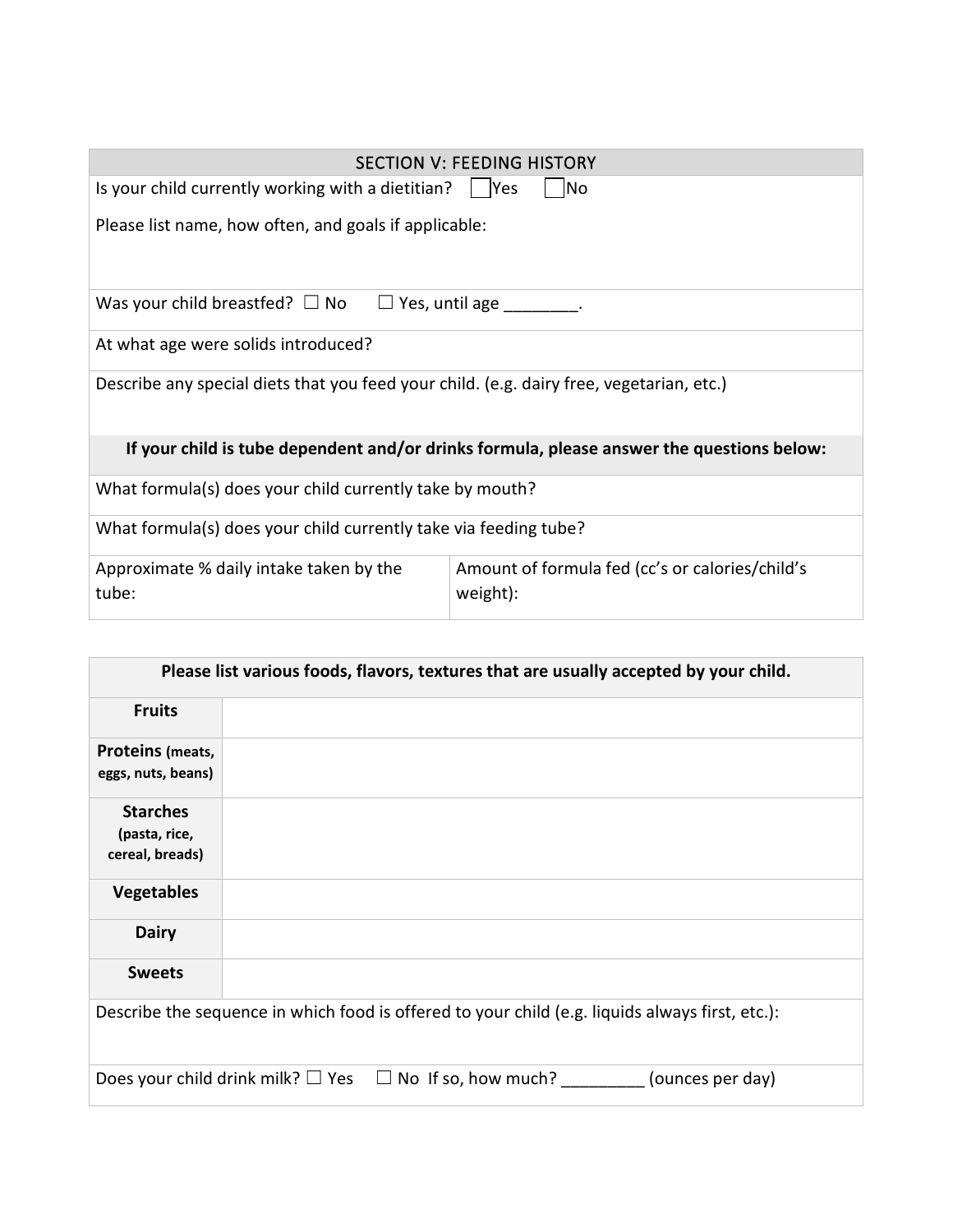|                                                                                           | <b>SECTION V: FEEDING HISTORY</b>                           |  |  |  |
|-------------------------------------------------------------------------------------------|-------------------------------------------------------------|--|--|--|
| No.<br>Is your child currently working with a dietitian? $\parallel$  Yes                 |                                                             |  |  |  |
| Please list name, how often, and goals if applicable:                                     |                                                             |  |  |  |
| Was your child breastfed? $\square$ No $\square$ Yes, until age $\square$ .               |                                                             |  |  |  |
| At what age were solids introduced?                                                       |                                                             |  |  |  |
| Describe any special diets that you feed your child. (e.g. dairy free, vegetarian, etc.)  |                                                             |  |  |  |
| If your child is tube dependent and/or drinks formula, please answer the questions below: |                                                             |  |  |  |
| What formula(s) does your child currently take by mouth?                                  |                                                             |  |  |  |
| What formula(s) does your child currently take via feeding tube?                          |                                                             |  |  |  |
| Approximate % daily intake taken by the<br>tube:                                          | Amount of formula fed (cc's or calories/child's<br>weight): |  |  |  |

| Please list various foods, flavors, textures that are usually accepted by your child. |                                                                                                 |  |  |  |
|---------------------------------------------------------------------------------------|-------------------------------------------------------------------------------------------------|--|--|--|
| <b>Fruits</b>                                                                         |                                                                                                 |  |  |  |
| <b>Proteins (meats,</b><br>eggs, nuts, beans)                                         |                                                                                                 |  |  |  |
| <b>Starches</b><br>(pasta, rice,<br>cereal, breads)                                   |                                                                                                 |  |  |  |
| <b>Vegetables</b>                                                                     |                                                                                                 |  |  |  |
| <b>Dairy</b>                                                                          |                                                                                                 |  |  |  |
| <b>Sweets</b>                                                                         |                                                                                                 |  |  |  |
|                                                                                       | Describe the sequence in which food is offered to your child (e.g. liquids always first, etc.): |  |  |  |
|                                                                                       | Does your child drink milk? $\square$ Yes $\square$ No If so, how much?<br>(ounces per day)     |  |  |  |